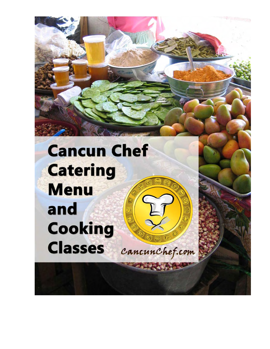# **Cancun Chef Catering Menu** and Cooking **Classes** Cancunchef.com 大心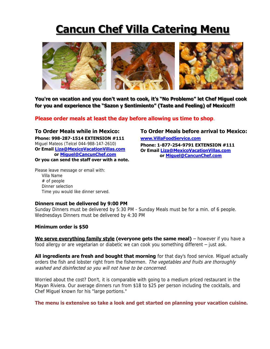# **Cancun Chef Villa Catering Menu**



**You're on vacation and you don't want to cook, it's "No Problemo" let Chef Miguel cook for you and experience the "Sazon y Sentimiento" (Taste and Feeling) of Mexico!!!** 

**Please order meals at least the day before allowing us time to shop**.

**To Order Meals while in Mexico: Phone: 998-287-1514 EXTENSION #111**  Miguel Mateos (Telcel 044-988-147-2610) **Or Email [Liza@MexicoVacationVillas.com](mailto:Liza@MexicoVacationVillas.com) or [Miguel@CancunChef.com](mailto:Miguel@CancunChef.com?subject=Villa%20meal%20service) Or you can send the staff over with a note.**

Please leave message or email with: Villa Name # of people Dinner selection Time you would like dinner served.

## **To Order Meals before arrival to Mexico:**

**[www.VillaFoodService.com](http://www.villafoodservice.com/) Phone: 1-877-254-9791 EXTENSION #111 Or Email [Liza@MexicoVacationVillas.com](mailto:Liza@MexicoVacationVillas.com) or [Miguel@CancunChef.com](mailto:Miguel@CancunChef.com?subject=Villa%20meal%20service)**

#### **Dinners must be delivered by 9:00 PM**

Sunday Dinners must be delivered by 5:30 PM - Sunday Meals must be for a min. of 6 people. Wednesdays Dinners must be delivered by 4:30 PM

#### **Minimum order is \$50**

**We serve everything family style (everyone gets the same meal)** – however if you have a food allergy or are vegetarian or diabetic we can cook you something different - just ask.

**All ingredients are fresh and bought that morning** for that day's food service. Miguel actually orders the fish and lobster right from the fishermen. The vegetables and fruits are thoroughly washed and disinfected so you will not have to be concerned.

Worried about the cost? Don't, it is comparable with going to a medium priced restaurant in the Mayan Riviera. Our average dinners run from \$18 to \$25 per person including the cocktails, and Chef Miguel known for his "large portions."

**The menu is extensive so take a look and get started on planning your vacation cuisine.**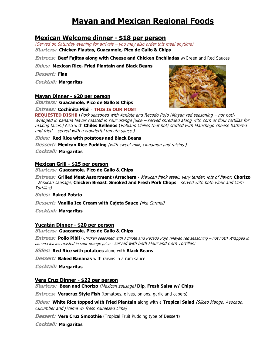# **Mayan and Mexican Regional Foods**

### **Mexican Welcome dinner - \$18 per person**

(Served on Saturday evening for arrivals – you may also order this meal anytime)

**Starters: Chicken Flautas, Guacamole, Pico de Gallo & Chips**

**Entrees: Beef Fajitas along with Cheese and Chicken Enchiladas** w/Green and Red Sauces

**Sides: Mexican Rice, Fried Plantain and Black Beans** 

**Dessert: Flan** 

**Cocktail: Margaritas** 

#### **Mayan Dinner - \$20 per person**

**Starters: Guacamole, Pico de Gallo & Chips** 

#### **Entrees: Cochinita Pibil** - **THIS IS OUR MOST**

**REQUESTED DISH!!** (Pork seasoned with Achiote and Recado Rojo (Mayan red seasoning – not hot!) Wrapped in banana leaves roasted in sour orange juice – served shredded along with corn or flour tortillas for making tacos.) Also with **Chiles Rellenos** (Poblano Chilies (not hot) stuffed with Manchego cheese battered and fried – served with a wonderful tomato sauce.)

**Sides: Red Rice with potatoes and Black Beans** 

**Dessert: Mexican Rice Pudding** (with sweet milk, cinnamon and raisins.) **Cocktail: Margaritas** 

#### **Mexican Grill - \$25 per person**

**Starters: Guacamole, Pico de Gallo & Chips** 

**Entrees: Grilled Meat Assortment** (**Arrachera** - Mexican flank steak, very tender, lots of flavor, **Chorizo** - Mexican sausage, **Chicken Breast**, **Smoked and Fresh Pork Chops** - served with both Flour and Corn Tortillas)

**Sides: Baked Potato** 

**Dessert: Vanilla Ice Cream with Cajeta Sauce** (like Carmel)

**Cocktail: Margaritas** 

#### **Yucatán Dinner - \$20 per person**

#### **Starters: Guacamole, Pico de Gallo & Chips**

**Entrees: Pollo Pibil** (Chicken seasoned with Achiote and Recado Rojo (Mayan red seasoning – not hot!) Wrapped in banana leaves roasted in sour orange juice - served with both Flour and Corn Tortillas)

**Sides: Red Rice with potatoes** along with **Black Beans** 

*Dessert:* **Baked Bananas** with raisins in a rum sauce

**Cocktail: Margaritas** 

#### **Vera Cruz Dinner - \$22 per person**

**Starters: Bean and Chorizo** (Mexican sausage) **Dip, Fresh Salsa w/ Chips**

*Entrees:* **Veracruz Style Fish** (tomatoes, olives, onions, garlic and capers)

**Sides: White Rice topped with Fried Plantain** along with a **Tropical Salad** (Sliced Mango, Avocado, Cucumber and Jicama w/ fresh squeezed Lime)

**Dessert: Vera Cruz Smoothie** (Tropical Fruit Pudding type of Dessert)

**Cocktail: Margaritas** 

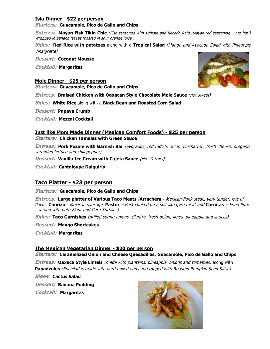#### **Isla Dinner - \$22 per person**

#### **Starters: Guacamole, Pico de Gallo and Chips**

**Entrees: Mayan Fish Tikin Chic** (Fish seasoned with Achiote and Recado Rojo (Mayan red seasoning – not hot!) Wrapped in banana leaves roasted in sour orange juice.)

**Sides: Red Rice with potatoes** along with a **Tropical Salad** (Mango and Avocado Salad with Pineapple Vinaigrette)

**Dessert: Coconut Mousse**

**Cocktail: Margaritas** 

#### **Mole Dinner - \$25 per person**

**Starters: Guacamole, Pico de Gallo and Chips**

**Entrees: Braised Chicken with Oaxacan Style Chocolate Mole Sauce** (not sweet)

**Sides: White Rice** along with a **Black Bean and Roasted Corn Salad**

**Dessert: Papaya Crumb**

**Cocktail: Mezcal Cocktail**

#### **Just like Mom Made Dinner (Mexican Comfort Foods) - \$25 per person**

**Starters: Chicken Tamales with Green Sauce**

**Entrees: Pork Pozole with Garnish Bar** (avocados, red radish, onion, chicharron, fresh cheese, oregano, shredded lettuce and chili pepper)

**Dessert: Vanilla Ice Cream with Cajeta Sauce** (like Carmel)

**Cocktail: Cantaloupe Daiquiris** 

### **Taco Platter - \$23 per person**

**Starters: Guacamole, Pico de Gallo and Chips**

**Entrees: Large platter of Various Taco Meats** (**Arrachera** - Mexican flank steak, very tender, lots of flavor, **Chorizo** - Mexican sausage, **Pastor** – Pork cooked on a spit like gyro meat and **Carnitas** – Fried Pork - served with both Flour and Corn Tortillas)

**Sides: Taco Garnishes** (grilled spring onions, cilantro, fresh onion, limes, pineapple and sauces)

**Dessert: Mango Shortcakes**

**Cocktail: Margaritas** 

#### **The Mexican Vegetarian Dinner - \$20 per person**

**Starters: Caramelized Onion and Cheese Quesadillas, Guacamole, Pico de Gallo and Chips**

**Entrees: Oaxaca Style Lintels** (made with plantains, pineapple, onions and tomatoes) along with **Papadzules** (Enchiladas made with hard boiled eggs and topped with Roasted Pumpkin Seed Salsa)

**Sides: Cactus Salad**

**Dessert: Banana Pudding**

**Cocktail: Margaritas**



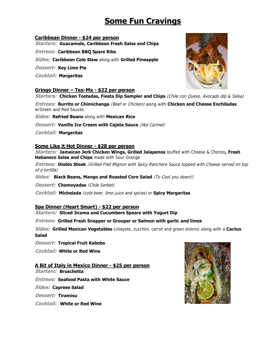# **Some Fun Cravings**

#### **Caribbean Dinner - \$24 per person**

- **Starters: Guacamole, Caribbean Fresh Salsa and Chips**
- **Entrees: Caribbean BBQ Spare Ribs**
- **Sides: Caribbean Cole Slaw** along with **Grilled Pineapple**
- **Dessert: Key Lime Pie**
- **Cocktail: Margaritas**

#### **Gringo Dinner – Tex-Mx - \$22 per person**

**Starters: Chicken Tostadas, Fiesta Dip Sampler and Chips** (Chile con Queso, Avocado dip & Salsa)

**Entrees: Burrito or Chimichanga** (Beef or Chicken) along with **Chicken and Cheese Enchiladas** w/Green and Red Sauces

**Sides: Refried Beans** along with **Mexican Rice**

**Dessert: Vanilla Ice Cream with Cajeta Sauce** (like Carmel)

**Cocktail: Margaritas**

#### **Some Like it Hot Dinner - \$28 per person**

**Starters: Jamaican Jerk Chicken Wings, Grilled Jalapenos** stuffed with Cheese & Chorizo**, Fresh Habanero Salsa and Chips** made with Sour Orange

**Entrees: Diablo Steak** (Grilled Filet Mignon with Spicy Ranchero Sauce topped with Cheese served on top of a tortilla)

**Sides: Black Beans, Mango and Roasted Corn Salad** (To Cool you down!)

**Dessert: Chamoyadas** (Chile Sorbet)

**Cocktail: Michelada** (cold beer, lime juice and spices) or **Spicy Margaritas**

#### **Spa Dinner (Heart Smart) - \$22 per person**

**Starters: Sliced Jicama and Cucumbers Spears with Yogurt Dip**

**Entrees: Grilled Fresh Snapper or Grouper or Salmon with garlic and limes**

**Sides: Grilled Mexican Vegetables** (chayote, zucchini, carrot and green onions) along with a **Cactus Salad**

**Dessert: Tropical Fruit Kabobs**

**Cocktail: White or Red Wine**

#### **A Bit of Italy in Mexico Dinner - \$25 per person**

**Starters: Bruschetta Entrees: Seafood Pasta with White Sauce Sides: Caprese Salad Dessert: Tiramisu Cocktail: White or Red Wine**



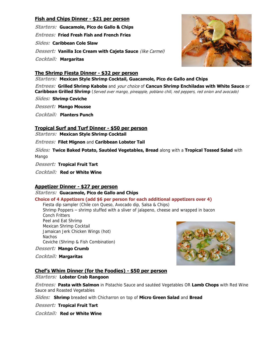#### **Fish and Chips Dinner - \$21 per person**

**Starters: Guacamole, Pico de Gallo & Chips Entrees: Fried Fresh Fish and French Fries Sides: Caribbean Cole Slaw Dessert: Vanilla Ice Cream with Cajeta Sauce** (like Carmel) **Cocktail: Margaritas**

#### **The Shrimp Fiesta Dinner - \$32 per person**

**Starters: Mexican Style Shrimp Cocktail, Guacamole, Pico de Gallo and Chips**

**Entrees: Grilled Shrimp Kabobs** and your choice of **Cancun Shrimp Enchiladas with White Sauce** or **Caribbean Grilled Shrimp** (Served over mango, pineapple, poblano chili, red peppers, red onion and avocado)

**Sides: Shrimp Ceviche**

**Dessert: Mango Mousse**

**Cocktail: Planters Punch**

#### **Tropical Surf and Turf Dinner - \$50 per person**

**Starters: Mexican Style Shrimp Cocktail**

**Entrees: Filet Mignon** and **Caribbean Lobster Tail** 

**Sides: Twice Baked Potato, Sautéed Vegetables, Bread** along with a **Tropical Tossed Salad** with Mango

**Dessert: Tropical Fruit Tart**

**Cocktail: Red or White Wine**

#### **Appetizer Dinner - \$27 per person**

**Starters: Guacamole, Pico de Gallo and Chips** 

#### **Choice of 4 Appetizers (add \$6 per person for each additional appetizers over 4)**

Fiesta dip sampler (Chile con Queso, Avocado dip, Salsa & Chips) Shrimp Poppers – shrimp stuffed with a sliver of jalapeno, cheese and wrapped in bacon Conch Fritters Peel and Eat Shrimp Mexican Shrimp Cocktail Jamaican Jerk Chicken Wings (hot) **Nachos** Ceviche (Shrimp & Fish Combination)

**Dessert: Mango Crumb**

**Cocktail: Margaritas**



#### **Chef's Whim Dinner (for the Foodies) - \$50 per person**

**Starters: Lobster Crab Rangoon**

**Entrees: Pasta with Salmon** in Pistachio Sauce and sautéed Vegetables OR **Lamb Chops** with Red Wine Sauce and Roasted Vegetables

**Sides: Shrimp** breaded with Chicharron on top of **Micro Green Salad** and **Bread** 

**Dessert: Tropical Fruit Tart**

**Cocktail: Red or White Wine**

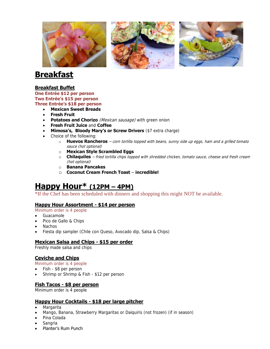





## **Breakfast**

#### **Breakfast Buffet**

**One Entrée \$12 per person Two Entrée's \$15 per person Three Entrée's \$18 per person** 

- **Mexican Sweet Breads**
- **Fresh Fruit**
- **Potatoes and Chorizo** (Mexican sausage) with green onion
- **Fresh Fruit Juice** and **Coffee**
- **Mimosa's, Bloody Mary's or Screw Drivers** (\$7 extra charge)
- Choice of the following:
	- o **Huevos Rancheros** corn tortilla topped with beans, sunny side up eggs, ham and a grilled tomato sauce (hot optional)
	- o **Mexican Style Scrambled Eggs**
	- o **Chilaquiles** fried tortilla chips topped with shredded chicken, tomato sauce, cheese and fresh cream (hot optional)
	- o **Banana Pancakes**
	- o **Coconut Cream French Toast incredible!**

# **Happy Hour\* (12PM – 4PM)**

\*If the Chef has been scheduled with dinners and shopping this might NOT be available.

#### **Happy Hour Assortment - \$14 per person**

Minimum order is 4 people

- Guacamole
- Pico de Gallo & Chips
- Nachos
- Fiesta dip sampler (Chile con Queso, Avocado dip, Salsa & Chips)

#### **Mexican Salsa and Chips - \$15 per order**

Freshly made salsa and chips

#### **Ceviche and Chips**

Minimum order is 4 people

- Fish \$8 per person
- Shrimp or Shrimp & Fish \$12 per person

#### **Fish Tacos - \$8 per person**

Minimum order is 4 people

#### **Happy Hour Cocktails - \$18 per large pitcher**

- Margarita
- Mango, Banana, Strawberry Margaritas or Daiquiris (not frozen) (if in season)
- Pina Colada
- Sangria
- Planter's Rum Punch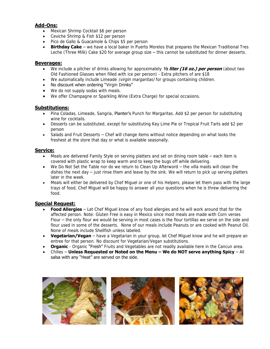#### **Add-Ons:**

- Mexican Shrimp Cocktail \$6 per person
- Ceviche Shrimp & Fish \$12 per person
- Pico de Gallo & Guacamole & Chips \$5 per person
- **Birthday Cake** we have a local baker in Puerto Morelos that prepares the Mexican Traditional Tres Leche (Three Milk) Cake \$20 for average group size – this cannot be substituted for dinner desserts.

#### **Beverages:**

- We include a pitcher of drinks allowing for approximately **1/2 liter (16 oz.) per person** (about two Old Fashioned Glasses when filled with ice per person) - Extra pitchers of are \$18
- We automatically include Limeade (virgin margaritas) for groups containing children.
- No discount when ordering "Virgin Drinks"
- We do not supply sodas with meals.
- We offer Champagne or Sparkling Wine (Extra Charge) for special occasions.

#### **Substitutions:**

- Pina Coladas, Limeade, Sangria, Planter's Punch for Margaritas. Add \$2 per person for substituting wine for cocktails.
- Desserts can be substituted, except for substituting Key Lime Pie or Tropical Fruit Tarts add \$2 per person
- Salads and Fruit Desserts Chef will change items without notice depending on what looks the freshest at the store that day or what is available seasonally.

#### **Service:**

- Meals are delivered Family Style on serving platters and set on dining room table each item is covered with plastic wrap to keep warm and to keep the bugs off while delivering.
- We Do Not Set the Table nor do we return to Clean Up Afterword the villa maids will clean the dishes the next day – just rinse them and leave by the sink. We will return to pick up serving platters later in the week.
- Meals will either be delivered by Chef Miguel or one of his Helpers, please let them pass with the large trays of food, Chef Miguel will be happy to answer all your questions when he is threw delivering the food.

#### **Special Request:**

- **Food Allergies** Let Chef Miguel know of any food allergies and he will work around that for the affected person. Note: Gluten Free is easy in Mexico since most meals are made with Corn verses Flour – the only flour we would be serving in most cases is the flour tortillas we serve on the side and flour used in some of the desserts. None of our meals include Peanuts or are cooked with Peanut Oil. None of meals include Shellfish unless labeled.
- **Vegetarian/Vegan** have a Vegetarian in your group, let Chef Miguel know and he will prepare an entree for that person. No discount for Vegetarian/Vegan substitutions.
- **Organic** Organic "Fresh" Fruits and Vegetables are not readily available here in the Cancun area.
- Chilies Unless Requested or Noted on the Menu We do NOT serve anything Spicy All salsa with any "Heat" are served on the side.